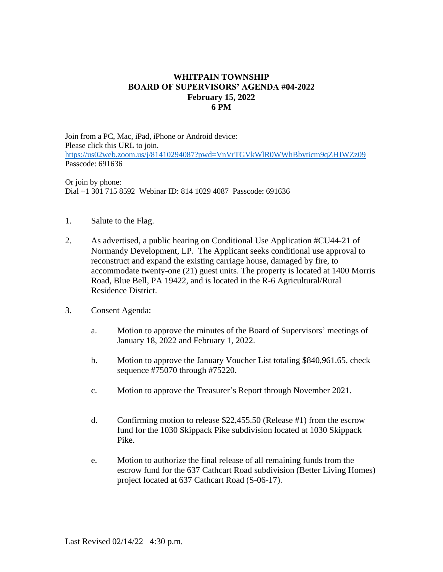## **WHITPAIN TOWNSHIP BOARD OF SUPERVISORS' AGENDA #04-2022 February 15, 2022 6 PM**

Join from a PC, Mac, iPad, iPhone or Android device: Please click this URL to join. <https://us02web.zoom.us/j/81410294087?pwd=VnVrTGVkWlR0WWhBbyticm9qZHJWZz09> Passcode: 691636

Or join by phone: Dial +1 301 715 8592 Webinar ID: 814 1029 4087 Passcode: 691636

- 1. Salute to the Flag.
- 2. As advertised, a public hearing on Conditional Use Application #CU44-21 of Normandy Development, LP. The Applicant seeks conditional use approval to reconstruct and expand the existing carriage house, damaged by fire, to accommodate twenty-one (21) guest units. The property is located at 1400 Morris Road, Blue Bell, PA 19422, and is located in the R-6 Agricultural/Rural Residence District.
- 3. Consent Agenda:
	- a. Motion to approve the minutes of the Board of Supervisors' meetings of January 18, 2022 and February 1, 2022.
	- b. Motion to approve the January Voucher List totaling \$840,961.65, check sequence #75070 through #75220.
	- c. Motion to approve the Treasurer's Report through November 2021.
	- d. Confirming motion to release \$22,455.50 (Release #1) from the escrow fund for the 1030 Skippack Pike subdivision located at 1030 Skippack Pike.
	- e. Motion to authorize the final release of all remaining funds from the escrow fund for the 637 Cathcart Road subdivision (Better Living Homes) project located at 637 Cathcart Road (S-06-17).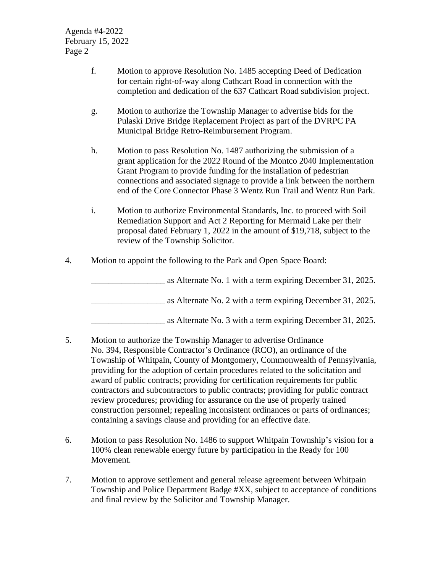Agenda #4-2022 February 15, 2022 Page 2

- f. Motion to approve Resolution No. 1485 accepting Deed of Dedication for certain right-of-way along Cathcart Road in connection with the completion and dedication of the 637 Cathcart Road subdivision project.
- g. Motion to authorize the Township Manager to advertise bids for the Pulaski Drive Bridge Replacement Project as part of the DVRPC PA Municipal Bridge Retro-Reimbursement Program.
- h. Motion to pass Resolution No. 1487 authorizing the submission of a grant application for the 2022 Round of the Montco 2040 Implementation Grant Program to provide funding for the installation of pedestrian connections and associated signage to provide a link between the northern end of the Core Connector Phase 3 Wentz Run Trail and Wentz Run Park.
- i. Motion to authorize Environmental Standards, Inc. to proceed with Soil Remediation Support and Act 2 Reporting for Mermaid Lake per their proposal dated February 1, 2022 in the amount of \$19,718, subject to the review of the Township Solicitor.
- 4. Motion to appoint the following to the Park and Open Space Board:

as Alternate No. 1 with a term expiring December 31, 2025. \_\_\_\_\_\_\_\_\_\_\_\_\_\_\_\_\_ as Alternate No. 2 with a term expiring December 31, 2025.

\_\_\_\_\_\_\_\_\_\_\_\_\_\_\_\_\_ as Alternate No. 3 with a term expiring December 31, 2025.

- 5. Motion to authorize the Township Manager to advertise Ordinance No. 394, Responsible Contractor's Ordinance (RCO), an ordinance of the Township of Whitpain, County of Montgomery, Commonwealth of Pennsylvania, providing for the adoption of certain procedures related to the solicitation and award of public contracts; providing for certification requirements for public contractors and subcontractors to public contracts; providing for public contract review procedures; providing for assurance on the use of properly trained construction personnel; repealing inconsistent ordinances or parts of ordinances; containing a savings clause and providing for an effective date.
- 6. Motion to pass Resolution No. 1486 to support Whitpain Township's vision for a 100% clean renewable energy future by participation in the Ready for 100 Movement.
- 7. Motion to approve settlement and general release agreement between Whitpain Township and Police Department Badge #XX, subject to acceptance of conditions and final review by the Solicitor and Township Manager.